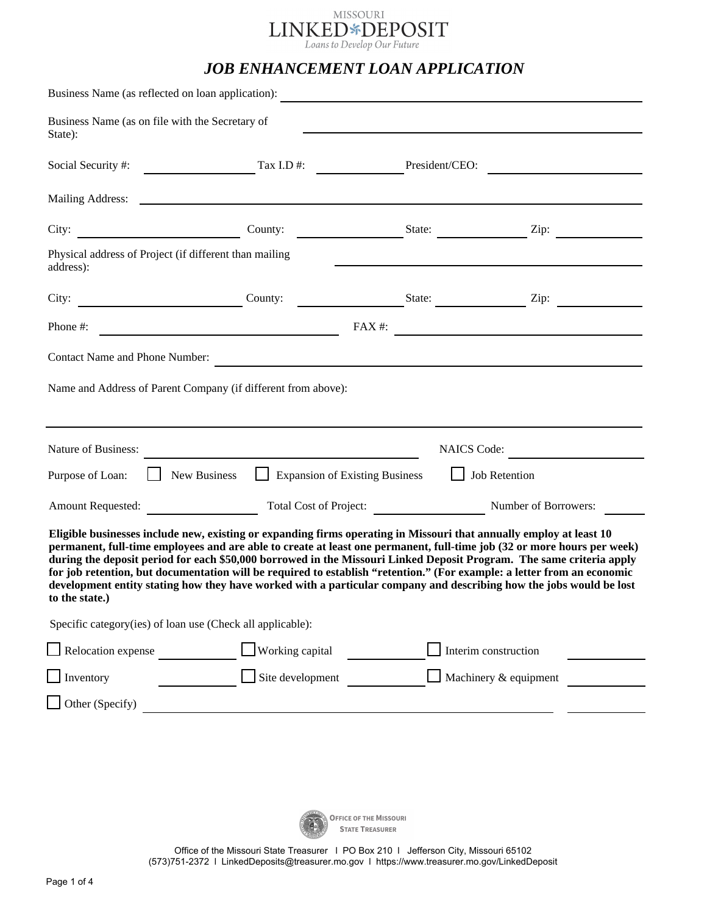

# *JOB ENHANCEMENT LOAN APPLICATION*

|                                                                                                                                                                                                                                                                                                                                                                                                                                                                                                                                                                                                                                            | Business Name (as reflected on loan application):             |                                                                                                                  |                                                               |  |  |
|--------------------------------------------------------------------------------------------------------------------------------------------------------------------------------------------------------------------------------------------------------------------------------------------------------------------------------------------------------------------------------------------------------------------------------------------------------------------------------------------------------------------------------------------------------------------------------------------------------------------------------------------|---------------------------------------------------------------|------------------------------------------------------------------------------------------------------------------|---------------------------------------------------------------|--|--|
| State):                                                                                                                                                                                                                                                                                                                                                                                                                                                                                                                                                                                                                                    | Business Name (as on file with the Secretary of               |                                                                                                                  |                                                               |  |  |
| Social Security #:                                                                                                                                                                                                                                                                                                                                                                                                                                                                                                                                                                                                                         | Tax I.D $#$ :                                                 | President/CEO:                                                                                                   |                                                               |  |  |
| Mailing Address:                                                                                                                                                                                                                                                                                                                                                                                                                                                                                                                                                                                                                           | <u> 1980 - Johann Barn, amerikansk politiker (d. 1980)</u>    |                                                                                                                  |                                                               |  |  |
| City:                                                                                                                                                                                                                                                                                                                                                                                                                                                                                                                                                                                                                                      | County:                                                       | State:                                                                                                           | Zip:                                                          |  |  |
| address):                                                                                                                                                                                                                                                                                                                                                                                                                                                                                                                                                                                                                                  | Physical address of Project (if different than mailing        |                                                                                                                  |                                                               |  |  |
| City:                                                                                                                                                                                                                                                                                                                                                                                                                                                                                                                                                                                                                                      | County:                                                       | State:                                                                                                           | Zip:                                                          |  |  |
| Phone #:                                                                                                                                                                                                                                                                                                                                                                                                                                                                                                                                                                                                                                   |                                                               | $FAX#$ :                                                                                                         | <u> 1989 - Johann Stein, mars an de Brandenburg (b. 1989)</u> |  |  |
| Contact Name and Phone Number:                                                                                                                                                                                                                                                                                                                                                                                                                                                                                                                                                                                                             |                                                               | and the control of the control of the control of the control of the control of the control of the control of the |                                                               |  |  |
|                                                                                                                                                                                                                                                                                                                                                                                                                                                                                                                                                                                                                                            | Name and Address of Parent Company (if different from above): |                                                                                                                  |                                                               |  |  |
| Nature of Business:<br><b>NAICS</b> Code:                                                                                                                                                                                                                                                                                                                                                                                                                                                                                                                                                                                                  |                                                               |                                                                                                                  |                                                               |  |  |
| Purpose of Loan:                                                                                                                                                                                                                                                                                                                                                                                                                                                                                                                                                                                                                           | New Business                                                  | <b>Expansion of Existing Business</b>                                                                            | Job Retention                                                 |  |  |
| <b>Amount Requested:</b>                                                                                                                                                                                                                                                                                                                                                                                                                                                                                                                                                                                                                   |                                                               | Total Cost of Project:                                                                                           | Number of Borrowers:                                          |  |  |
| Eligible businesses include new, existing or expanding firms operating in Missouri that annually employ at least 10<br>permanent, full-time employees and are able to create at least one permanent, full-time job (32 or more hours per week)<br>during the deposit period for each \$50,000 borrowed in the Missouri Linked Deposit Program. The same criteria apply<br>for job retention, but documentation will be required to establish "retention." (For example: a letter from an economic<br>development entity stating how they have worked with a particular company and describing how the jobs would be lost<br>to the state.) |                                                               |                                                                                                                  |                                                               |  |  |
|                                                                                                                                                                                                                                                                                                                                                                                                                                                                                                                                                                                                                                            | Specific category(ies) of loan use (Check all applicable):    |                                                                                                                  |                                                               |  |  |
| Relocation expense                                                                                                                                                                                                                                                                                                                                                                                                                                                                                                                                                                                                                         | Working capital                                               |                                                                                                                  | Interim construction                                          |  |  |
| Inventory                                                                                                                                                                                                                                                                                                                                                                                                                                                                                                                                                                                                                                  | Site development                                              |                                                                                                                  | Machinery & equipment                                         |  |  |
| Other (Specify)                                                                                                                                                                                                                                                                                                                                                                                                                                                                                                                                                                                                                            |                                                               |                                                                                                                  |                                                               |  |  |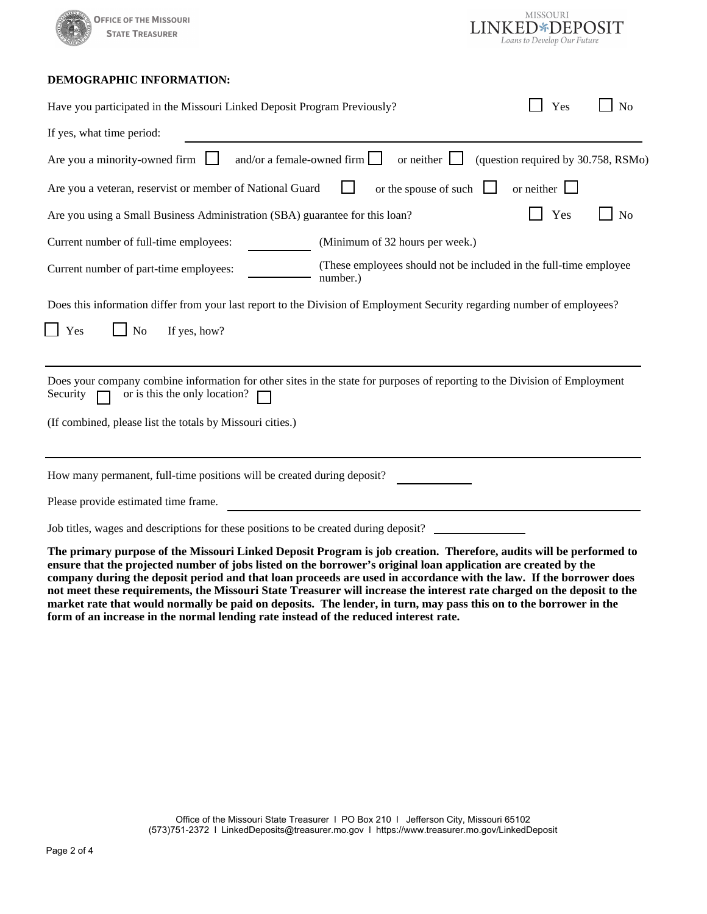



## **DEMOGRAPHIC INFORMATION:**

| Have you participated in the Missouri Linked Deposit Program Previously?                                                                                                | Yes                                 | N <sub>o</sub> |
|-------------------------------------------------------------------------------------------------------------------------------------------------------------------------|-------------------------------------|----------------|
| If yes, what time period:                                                                                                                                               |                                     |                |
| Are you a minority-owned firm<br>and/or a female-owned firm $\Box$<br>or neither $\Box$                                                                                 | (question required by 30.758, RSMo) |                |
| or the spouse of such<br>Are you a veteran, reservist or member of National Guard                                                                                       | $or$ neither                        |                |
| Are you using a Small Business Administration (SBA) guarantee for this loan?                                                                                            | Yes                                 | No             |
| Current number of full-time employees:<br>(Minimum of 32 hours per week.)                                                                                               |                                     |                |
| (These employees should not be included in the full-time employee<br>Current number of part-time employees:<br>number.)                                                 |                                     |                |
| Does this information differ from your last report to the Division of Employment Security regarding number of employees?                                                |                                     |                |
| No<br>If yes, how?<br>Yes                                                                                                                                               |                                     |                |
| Does your company combine information for other sites in the state for purposes of reporting to the Division of Employment<br>or is this the only location?<br>Security |                                     |                |
| (If combined, please list the totals by Missouri cities.)                                                                                                               |                                     |                |
| How many permanent, full-time positions will be created during deposit?                                                                                                 |                                     |                |
| Please provide estimated time frame.                                                                                                                                    |                                     |                |
| Job titles, wages and descriptions for these positions to be created during deposit?                                                                                    |                                     |                |

**The primary purpose of the Missouri Linked Deposit Program is job creation. Therefore, audits will be performed to ensure that the projected number of jobs listed on the borrower's original loan application are created by the company during the deposit period and that loan proceeds are used in accordance with the law. If the borrower does not meet these requirements, the Missouri State Treasurer will increase the interest rate charged on the deposit to the market rate that would normally be paid on deposits. The lender, in turn, may pass this on to the borrower in the form of an increase in the normal lending rate instead of the reduced interest rate.**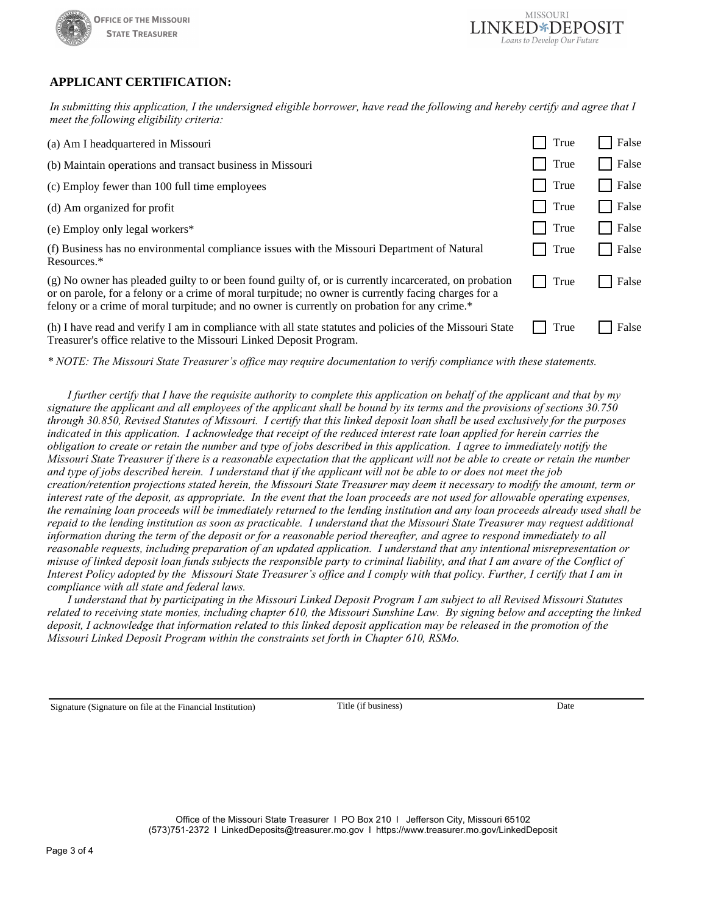



## **APPLICANT CERTIFICATION:**

*In submitting this application, I the undersigned eligible borrower, have read the following and hereby certify and agree that I meet the following eligibility criteria:*

| (a) Am I headquartered in Missouri                                                                                                                                                                                                                                                                             | True | False |
|----------------------------------------------------------------------------------------------------------------------------------------------------------------------------------------------------------------------------------------------------------------------------------------------------------------|------|-------|
| (b) Maintain operations and transact business in Missouri                                                                                                                                                                                                                                                      | True | False |
| (c) Employ fewer than 100 full time employees                                                                                                                                                                                                                                                                  | True | False |
| (d) Am organized for profit                                                                                                                                                                                                                                                                                    | True | False |
| (e) Employ only legal workers*                                                                                                                                                                                                                                                                                 | True | False |
| (f) Business has no environmental compliance issues with the Missouri Department of Natural<br>Resources.*                                                                                                                                                                                                     | True | False |
| (g) No owner has pleaded guilty to or been found guilty of, or is currently incarcerated, on probation<br>or on parole, for a felony or a crime of moral turpitude; no owner is currently facing charges for a<br>felony or a crime of moral turpitude; and no owner is currently on probation for any crime.* | True | False |
| (h) I have read and verify I am in compliance with all state statures and policies of the Missouri State<br>Treasurer's office relative to the Missouri Linked Deposit Program.                                                                                                                                | True | False |

*\* NOTE: The Missouri State Treasurer's office may require documentation to verify compliance with these statements.*

*I further certify that I have the requisite authority to complete this application on behalf of the applicant and that by my signature the applicant and all employees of the applicant shall be bound by its terms and the provisions of sections 30.750 through 30.850, Revised Statutes of Missouri. I certify that this linked deposit loan shall be used exclusively for the purposes indicated in this application. I acknowledge that receipt of the reduced interest rate loan applied for herein carries the obligation to create or retain the number and type of jobs described in this application. I agree to immediately notify the Missouri State Treasurer if there is a reasonable expectation that the applicant will not be able to create or retain the number and type of jobs described herein. I understand that if the applicant will not be able to or does not meet the job creation/retention projections stated herein, the Missouri State Treasurer may deem it necessary to modify the amount, term or interest rate of the deposit, as appropriate. In the event that the loan proceeds are not used for allowable operating expenses, the remaining loan proceeds will be immediately returned to the lending institution and any loan proceeds already used shall be repaid to the lending institution as soon as practicable. I understand that the Missouri State Treasurer may request additional information during the term of the deposit or for a reasonable period thereafter, and agree to respond immediately to all reasonable requests, including preparation of an updated application. I understand that any intentional misrepresentation or misuse of linked deposit loan funds subjects the responsible party to criminal liability, and that I am aware of the Conflict of Interest Policy adopted by the Missouri State Treasurer's office and I comply with that policy. Further, I certify that I am in compliance with all state and federal laws.*

 *I understand that by participating in the Missouri Linked Deposit Program I am subject to all Revised Missouri Statutes related to receiving state monies, including chapter 610, the Missouri Sunshine Law. By signing below and accepting the linked deposit, I acknowledge that information related to this linked deposit application may be released in the promotion of the Missouri Linked Deposit Program within the constraints set forth in Chapter 610, RSMo.*

Signature (Signature on file at the Financial Institution) Title (if business) Date